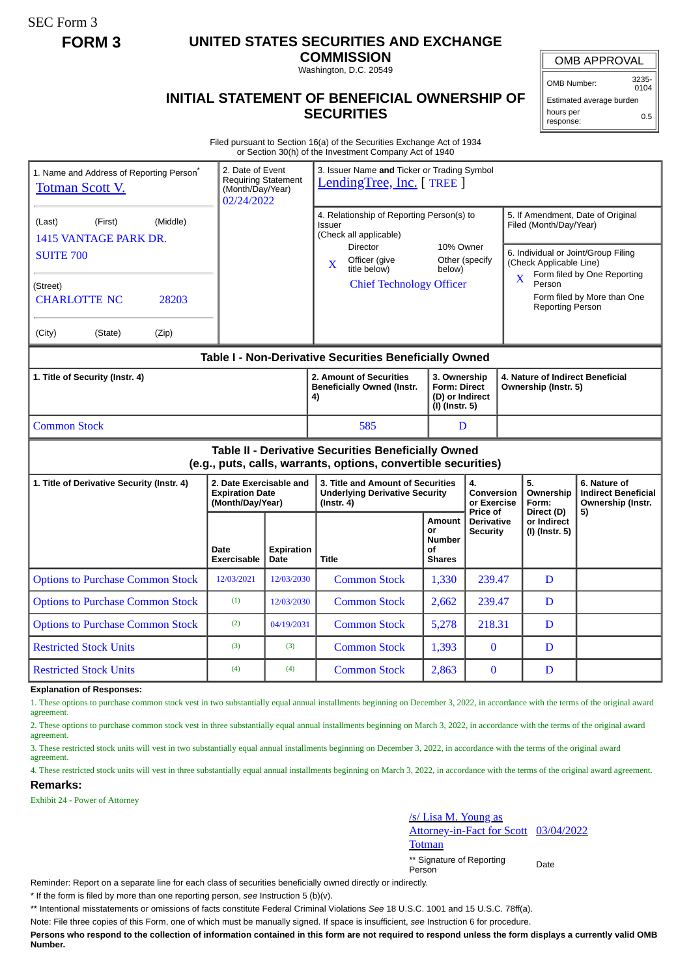SEC Form 3

## **FORM 3 UNITED STATES SECURITIES AND EXCHANGE**

**COMMISSION** Washington, D.C. 20549

OMB APPROVAL

OMB Number: 3235- 0104

**INITIAL STATEMENT OF BENEFICIAL OWNERSHIP OF SECURITIES**

Estimated average burden hours per response: 0.5

Filed pursuant to Section 16(a) of the Securities Exchange Act of 1934 or Section 30(h) of the Investment Company Act of 1940

| 1. Name and Address of Reporting Person <sup>®</sup><br><b>Totman Scott V.</b>                                        | 2. Date of Event<br><b>Requiring Statement</b><br>(Month/Day/Year)<br>02/24/2022 |                           | 3. Issuer Name and Ticker or Trading Symbol<br>LendingTree, Inc. [TREE]                  |                                                             |                                                                          |                                                                                                               |                                                          |                                                                 |  |
|-----------------------------------------------------------------------------------------------------------------------|----------------------------------------------------------------------------------|---------------------------|------------------------------------------------------------------------------------------|-------------------------------------------------------------|--------------------------------------------------------------------------|---------------------------------------------------------------------------------------------------------------|----------------------------------------------------------|-----------------------------------------------------------------|--|
| (Middle)<br>(Last)<br>(First)<br>1415 VANTAGE PARK DR.                                                                |                                                                                  |                           | 4. Relationship of Reporting Person(s) to<br>Issuer<br>(Check all applicable)            |                                                             |                                                                          | 5. If Amendment, Date of Original<br>Filed (Month/Day/Year)                                                   |                                                          |                                                                 |  |
| <b>SUITE 700</b>                                                                                                      |                                                                                  |                           | <b>Director</b><br>Officer (give<br>X<br>title below)                                    | 10% Owner<br>Other (specify<br>below)                       |                                                                          | 6. Individual or Joint/Group Filing<br>(Check Applicable Line)<br>Form filed by One Reporting<br>$\mathbf{X}$ |                                                          |                                                                 |  |
| (Street)<br>28203<br><b>CHARLOTTE NC</b>                                                                              |                                                                                  |                           | <b>Chief Technology Officer</b>                                                          |                                                             |                                                                          |                                                                                                               | Person<br>Reporting Person                               | Form filed by More than One                                     |  |
| (City)<br>(State)<br>(Zip)                                                                                            |                                                                                  |                           |                                                                                          |                                                             |                                                                          |                                                                                                               |                                                          |                                                                 |  |
| Table I - Non-Derivative Securities Beneficially Owned                                                                |                                                                                  |                           |                                                                                          |                                                             |                                                                          |                                                                                                               |                                                          |                                                                 |  |
| 1. Title of Security (Instr. 4)                                                                                       |                                                                                  |                           | 2. Amount of Securities<br><b>Beneficially Owned (Instr.</b><br>4)                       |                                                             | 3. Ownership<br><b>Form: Direct</b><br>(D) or Indirect<br>(I) (Instr. 5) |                                                                                                               | 4. Nature of Indirect Beneficial<br>Ownership (Instr. 5) |                                                                 |  |
| <b>Common Stock</b>                                                                                                   |                                                                                  |                           | 585                                                                                      | D                                                           |                                                                          |                                                                                                               |                                                          |                                                                 |  |
| Table II - Derivative Securities Beneficially Owned<br>(e.g., puts, calls, warrants, options, convertible securities) |                                                                                  |                           |                                                                                          |                                                             |                                                                          |                                                                                                               |                                                          |                                                                 |  |
| 1. Title of Derivative Security (Instr. 4)                                                                            | 2. Date Exercisable and<br><b>Expiration Date</b><br>(Month/Day/Year)            |                           | 3. Title and Amount of Securities<br><b>Underlying Derivative Security</b><br>(Instr. 4) |                                                             | 4.<br><b>Conversion</b><br>or Exercise                                   |                                                                                                               | 5.<br>Ownership<br>Form:                                 | 6. Nature of<br><b>Indirect Beneficial</b><br>Ownership (Instr. |  |
|                                                                                                                       | Date<br><b>Exercisable</b>                                                       | <b>Expiration</b><br>Date | Title                                                                                    | <b>Amount</b><br>or<br><b>Number</b><br>Οf<br><b>Shares</b> | Price of<br><b>Derivative</b><br>Security                                |                                                                                                               | Direct (D)<br>or Indirect<br>(I) (Instr. 5)              | 5)                                                              |  |
| <b>Options to Purchase Common Stock</b>                                                                               | 12/03/2021                                                                       | 12/03/2030                | <b>Common Stock</b>                                                                      | 1,330                                                       | 239.47                                                                   |                                                                                                               | D                                                        |                                                                 |  |
| <b>Options to Purchase Common Stock</b>                                                                               | (1)                                                                              | 12/03/2030                | <b>Common Stock</b>                                                                      | 2,662                                                       | 239.47                                                                   |                                                                                                               | D                                                        |                                                                 |  |
| <b>Options to Purchase Common Stock</b>                                                                               | (2)                                                                              | 04/19/2031                | <b>Common Stock</b>                                                                      | 5,278                                                       | 218.31                                                                   |                                                                                                               | D                                                        |                                                                 |  |
| <b>Restricted Stock Units</b>                                                                                         | (3)                                                                              | (3)                       | <b>Common Stock</b>                                                                      | 1,393                                                       | $\bf{0}$                                                                 |                                                                                                               | D                                                        |                                                                 |  |
| <b>Restricted Stock Units</b>                                                                                         | (4)                                                                              | (4)                       | <b>Common Stock</b>                                                                      | 2,863                                                       | $\mathbf{0}$                                                             |                                                                                                               | D                                                        |                                                                 |  |

**Explanation of Responses:**

1. These options to purchase common stock vest in two substantially equal annual installments beginning on December 3, 2022, in accordance with the terms of the original award agreement.

2. These options to purchase common stock vest in three substantially equal annual installments beginning on March 3, 2022, in accordance with the terms of the original award agreement.

3. These restricted stock units will vest in two substantially equal annual installments beginning on December 3, 2022, in accordance with the terms of the original award agreement.

4. These restricted stock units will vest in three substantially equal annual installments beginning on March 3, 2022, in accordance with the terms of the original award agreement. **Remarks:**

Exhibit 24 - Power of Attorney

/s/ Lisa M. Young as Attorney-in-Fact for Scott **Totman** 03/04/2022 \*\* Signature of Reporting Person Date

Reminder: Report on a separate line for each class of securities beneficially owned directly or indirectly.

\* If the form is filed by more than one reporting person, *see* Instruction 5 (b)(v).

\*\* Intentional misstatements or omissions of facts constitute Federal Criminal Violations *See* 18 U.S.C. 1001 and 15 U.S.C. 78ff(a).

Note: File three copies of this Form, one of which must be manually signed. If space is insufficient, *see* Instruction 6 for procedure.

**Persons who respond to the collection of information contained in this form are not required to respond unless the form displays a currently valid OMB Number.**